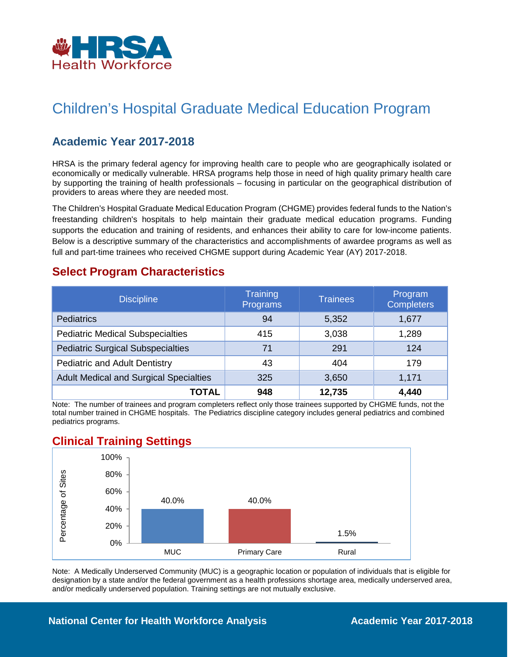

# Children's Hospital Graduate Medical Education Program

## **Academic Year 2017-2018**

HRSA is the primary federal agency for improving health care to people who are geographically isolated or economically or medically vulnerable. HRSA programs help those in need of high quality primary health care by supporting the training of health professionals – focusing in particular on the geographical distribution of providers to areas where they are needed most.

The Children's Hospital Graduate Medical Education Program (CHGME) provides federal funds to the Nation's freestanding children's hospitals to help maintain their graduate medical education programs. Funding supports the education and training of residents, and enhances their ability to care for low-income patients. Below is a descriptive summary of the characteristics and accomplishments of awardee programs as well as full and part-time trainees who received CHGME support during Academic Year (AY) 2017-2018.

### **Select Program Characteristics**

| <b>Discipline</b>                             | <b>Training</b><br>Programs | <b>Trainees</b> | Program<br><b>Completers</b> |
|-----------------------------------------------|-----------------------------|-----------------|------------------------------|
| <b>Pediatrics</b>                             | 94                          | 5,352           | 1,677                        |
| <b>Pediatric Medical Subspecialties</b>       | 415                         | 3,038           | 1,289                        |
| <b>Pediatric Surgical Subspecialties</b>      | 71                          | 291             | 124                          |
| <b>Pediatric and Adult Dentistry</b>          | 43                          | 404             | 179                          |
| <b>Adult Medical and Surgical Specialties</b> | 325                         | 3,650           | 1,171                        |
| TOTAL                                         | 948                         | 12,735          | 4,440                        |

Note: The number of trainees and program completers reflect only those trainees supported by CHGME funds, not the total number trained in CHGME hospitals. The Pediatrics discipline category includes general pediatrics and combined pediatrics programs.

### **Clinical Training Settings**



Note: A Medically Underserved Community (MUC) is a geographic location or population of individuals that is eligible for designation by a state and/or the federal government as a health professions shortage area, medically underserved area, and/or medically underserved population. Training settings are not mutually exclusive.

#### **National Center for Health Workforce Analysis Mational Center 2017-2018**